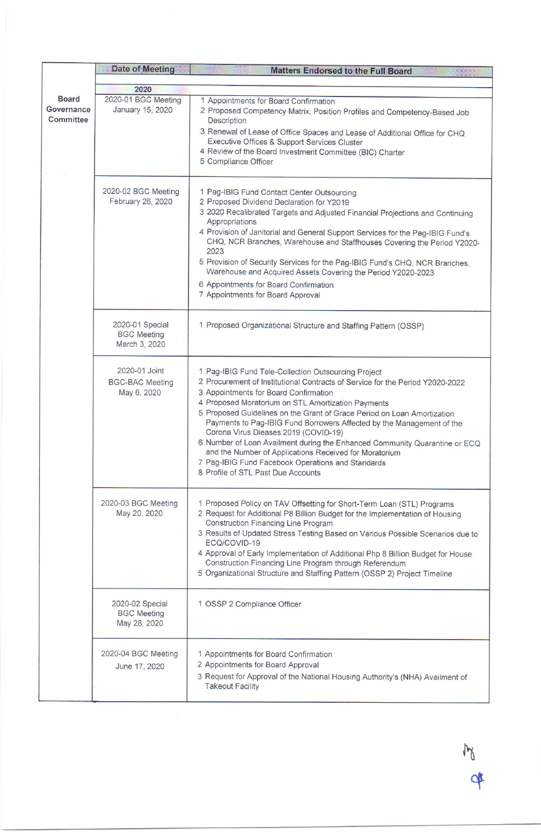|                         | <b>Date of Meeting</b>                                 | <b>Matters Endorsed to the Full Board</b>                                                                                                                                                                                                                                                                                                                                                                                                                                                                                                                                                                                                                          |
|-------------------------|--------------------------------------------------------|--------------------------------------------------------------------------------------------------------------------------------------------------------------------------------------------------------------------------------------------------------------------------------------------------------------------------------------------------------------------------------------------------------------------------------------------------------------------------------------------------------------------------------------------------------------------------------------------------------------------------------------------------------------------|
|                         |                                                        |                                                                                                                                                                                                                                                                                                                                                                                                                                                                                                                                                                                                                                                                    |
| <b>Board</b>            | 2020<br>2020-01 BGC Meeting                            |                                                                                                                                                                                                                                                                                                                                                                                                                                                                                                                                                                                                                                                                    |
| Governance<br>Committee | January 15, 2020                                       | 1 Appointments for Board Confirmation<br>2 Proposed Competency Matrix, Position Profiles and Competency-Based Job<br><b>Description</b><br>3 Renewal of Lease of Office Spaces and Lease of Additional Office for CHQ<br>Executive Offices & Support Services Cluster<br>4 Review of the Board Investment Committee (BIC) Charter<br>5 Compliance Officer                                                                                                                                                                                                                                                                                                          |
|                         | 2020-02 BGC Meeting<br>February 26, 2020               | 1 Pag-IBIG Fund Contact Center Outsourcing<br>2 Proposed Dividend Declaration for Y2019<br>3 2020 Recalibrated Targets and Adjusted Financial Projections and Continuing<br>Appropriations<br>4 Provision of Janitorial and General Support Services for the Pag-IBIG Fund's<br>CHQ, NCR Branches, Warehouse and Staffhouses Covering the Period Y2020-<br>2023<br>5 Provision of Security Services for the Pag-IBIG Fund's CHQ, NCR Branches,<br>Warehouse and Acquired Assets Covering the Period Y2020-2023<br>6 Appointments for Board Confirmation<br>7 Appointments for Board Approval                                                                       |
|                         | 2020-01 Special<br><b>BGC Meeting</b><br>March 3, 2020 | 1 Proposed Organizational Structure and Staffing Pattern (OSSP)                                                                                                                                                                                                                                                                                                                                                                                                                                                                                                                                                                                                    |
|                         | 2020-01 Joint<br><b>BGC-BAC Meeting</b><br>May 6, 2020 | 1 Pag-IBIG Fund Tele-Collection Outsourcing Project<br>2 Procurement of Institutional Contracts of Service for the Period Y2020-2022<br>3 Appointments for Board Confirmation<br>4 Proposed Moratorium on STL Amortization Payments<br>5 Proposed Guidelines on the Grant of Grace Period on Loan Amortization<br>Payments to Pag-IBIG Fund Borrowers Affected by the Management of the<br>Corona Virus Dieases 2019 (COVID-19)<br>6 Number of Loan Availment during the Enhanced Community Quarantine or ECQ<br>and the Number of Applications Received for Moratorium<br>7 Pag-IBIG Fund Facebook Operations and Standards<br>8 Profile of STL Past Due Accounts |
|                         | 2020-03 BGC Meeting<br>May 20, 2020                    | 1 Proposed Policy on TAV Offsetting for Short-Term Loan (STL) Programs<br>2 Request for Additional P8 Billion Budget for the Implementation of Housing<br><b>Construction Financing Line Program</b><br>3 Results of Updated Stress Testing Based on Various Possible Scenarios due to<br>ECQ/COVID-19<br>4 Approval of Early Implementation of Additional Php 8 Billion Budget for House<br>Construction Financing Line Program through Referendum<br>5 Organizational Structure and Staffing Pattern (OSSP 2) Project Timeline                                                                                                                                   |
|                         | 2020-02 Special<br><b>BGC Meeting</b><br>May 28, 2020  | 1 OSSP 2 Compliance Officer                                                                                                                                                                                                                                                                                                                                                                                                                                                                                                                                                                                                                                        |
|                         | 2020-04 BGC Meeting<br>June 17, 2020                   | 1 Appointments for Board Confirmation<br>2 Appointments for Board Approval<br>3 Request for Approval of the National Housing Authority's (NHA) Availment of<br><b>Takeout Facility</b>                                                                                                                                                                                                                                                                                                                                                                                                                                                                             |